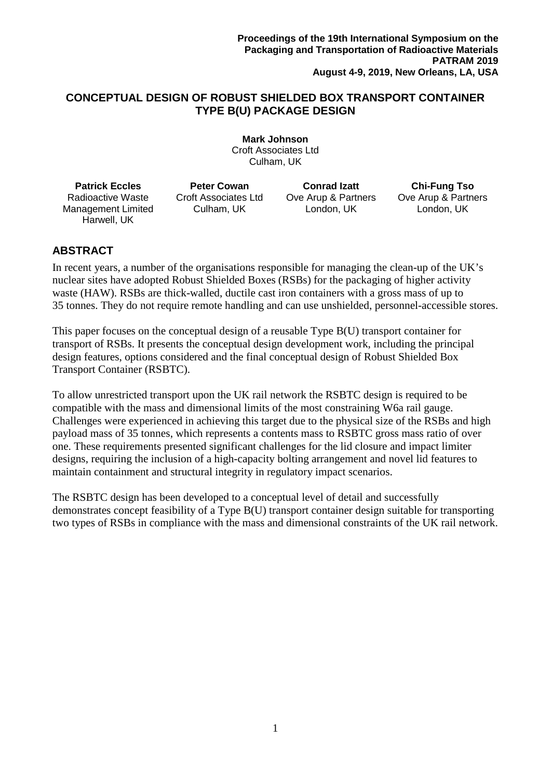# **CONCEPTUAL DESIGN OF ROBUST SHIELDED BOX TRANSPORT CONTAINER TYPE B(U) PACKAGE DESIGN**

**Mark Johnson** Croft Associates Ltd Culham, UK

**Patrick Eccles** Radioactive Waste Management Limited Harwell, UK

**Peter Cowan** Croft Associates Ltd Culham, UK

**Conrad Izatt** Ove Arup & Partners London, UK

**Chi-Fung Tso** Ove Arup & Partners London, UK

# **ABSTRACT**

In recent years, a number of the organisations responsible for managing the clean-up of the UK's nuclear sites have adopted Robust Shielded Boxes (RSBs) for the packaging of higher activity waste (HAW). RSBs are thick-walled, ductile cast iron containers with a gross mass of up to 35 tonnes. They do not require remote handling and can use unshielded, personnel-accessible stores.

This paper focuses on the conceptual design of a reusable Type B(U) transport container for transport of RSBs. It presents the conceptual design development work, including the principal design features, options considered and the final conceptual design of Robust Shielded Box Transport Container (RSBTC).

To allow unrestricted transport upon the UK rail network the RSBTC design is required to be compatible with the mass and dimensional limits of the most constraining W6a rail gauge. Challenges were experienced in achieving this target due to the physical size of the RSBs and high payload mass of 35 tonnes, which represents a contents mass to RSBTC gross mass ratio of over one. These requirements presented significant challenges for the lid closure and impact limiter designs, requiring the inclusion of a high-capacity bolting arrangement and novel lid features to maintain containment and structural integrity in regulatory impact scenarios.

The RSBTC design has been developed to a conceptual level of detail and successfully demonstrates concept feasibility of a Type B(U) transport container design suitable for transporting two types of RSBs in compliance with the mass and dimensional constraints of the UK rail network.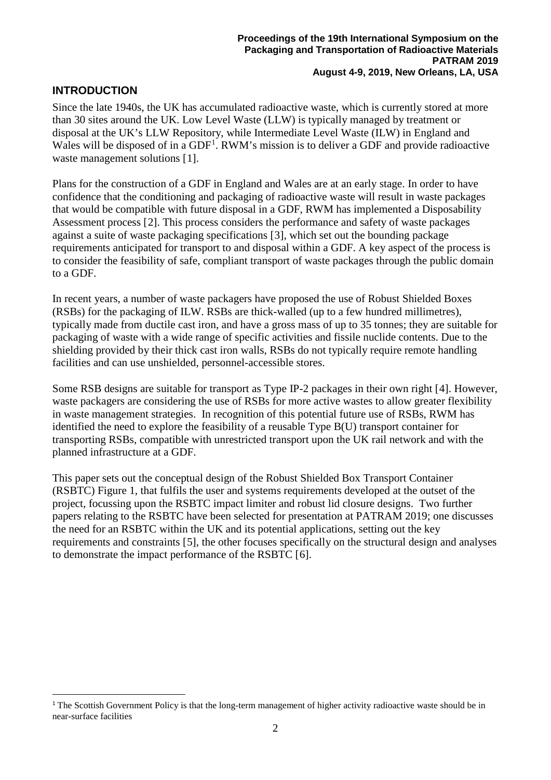# **INTRODUCTION**

<u>.</u>

Since the late 1940s, the UK has accumulated radioactive waste, which is currently stored at more than 30 sites around the UK. Low Level Waste (LLW) is typically managed by treatment or disposal at the UK's LLW Repository, while Intermediate Level Waste (ILW) in England and Wales will be disposed of in a  $GDF<sup>1</sup>$  $GDF<sup>1</sup>$  $GDF<sup>1</sup>$ . RWM's mission is to deliver a GDF and provide radioactive waste management solutions [[1](#page-9-0)].

Plans for the construction of a GDF in England and Wales are at an early stage. In order to have confidence that the conditioning and packaging of radioactive waste will result in waste packages that would be compatible with future disposal in a GDF, RWM has implemented a Disposability Assessment process [[2\]](#page-9-1). This process considers the performance and safety of waste packages against a suite of waste packaging specifications [[3\]](#page-9-2), which set out the bounding package requirements anticipated for transport to and disposal within a GDF. A key aspect of the process is to consider the feasibility of safe, compliant transport of waste packages through the public domain to a GDF.

In recent years, a number of waste packagers have proposed the use of Robust Shielded Boxes (RSBs) for the packaging of ILW. RSBs are thick-walled (up to a few hundred millimetres), typically made from ductile cast iron, and have a gross mass of up to 35 tonnes; they are suitable for packaging of waste with a wide range of specific activities and fissile nuclide contents. Due to the shielding provided by their thick cast iron walls, RSBs do not typically require remote handling facilities and can use unshielded, personnel-accessible stores.

Some RSB designs are suitable for transport as Type IP-2 packages in their own right [[4\]](#page-9-3). However, waste packagers are considering the use of RSBs for more active wastes to allow greater flexibility in waste management strategies. In recognition of this potential future use of RSBs, RWM has identified the need to explore the feasibility of a reusable Type B(U) transport container for transporting RSBs, compatible with unrestricted transport upon the UK rail network and with the planned infrastructure at a GDF.

<span id="page-1-1"></span>This paper sets out the conceptual design of the Robust Shielded Box Transport Container (RSBTC) [Figure 1,](#page-2-0) that fulfils the user and systems requirements developed at the outset of the project, focussing upon the RSBTC impact limiter and robust lid closure designs. Two further papers relating to the RSBTC have been selected for presentation at PATRAM 2019; one discusses the need for an RSBTC within the UK and its potential applications, setting out the key requirements and constraints [[5](#page-9-4)], the other focuses specifically on the structural design and analyses to demonstrate the impact performance of the RSBTC [[6\]](#page-9-5).

<span id="page-1-0"></span><sup>&</sup>lt;sup>1</sup> The Scottish Government Policy is that the long-term management of higher activity radioactive waste should be in near-surface facilities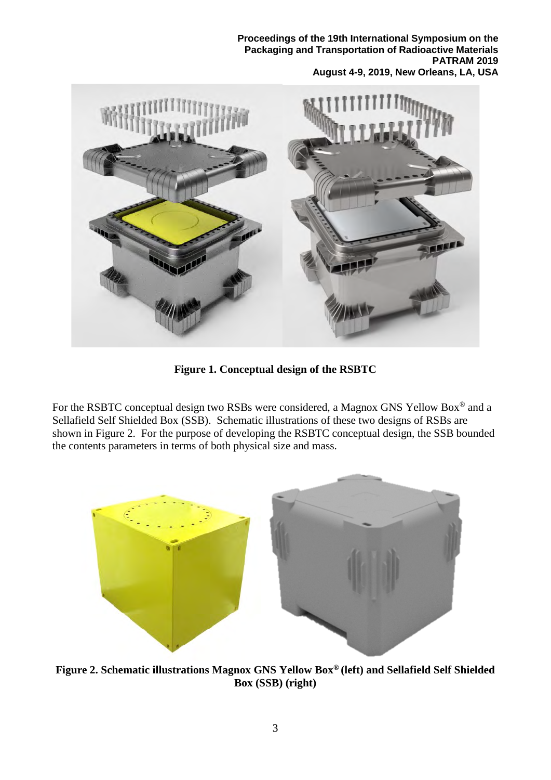

**Figure 1. Conceptual design of the RSBTC**

<span id="page-2-0"></span>For the RSBTC conceptual design two RSBs were considered, a Magnox GNS Yellow Box® and a Sellafield Self Shielded Box (SSB). Schematic illustrations of these two designs of RSBs are shown in [Figure 2.](#page-2-1) For the purpose of developing the RSBTC conceptual design, the SSB bounded the contents parameters in terms of both physical size and mass.

<span id="page-2-1"></span>

**Figure 2. Schematic illustrations Magnox GNS Yellow Box® (left) and Sellafield Self Shielded Box (SSB) (right)**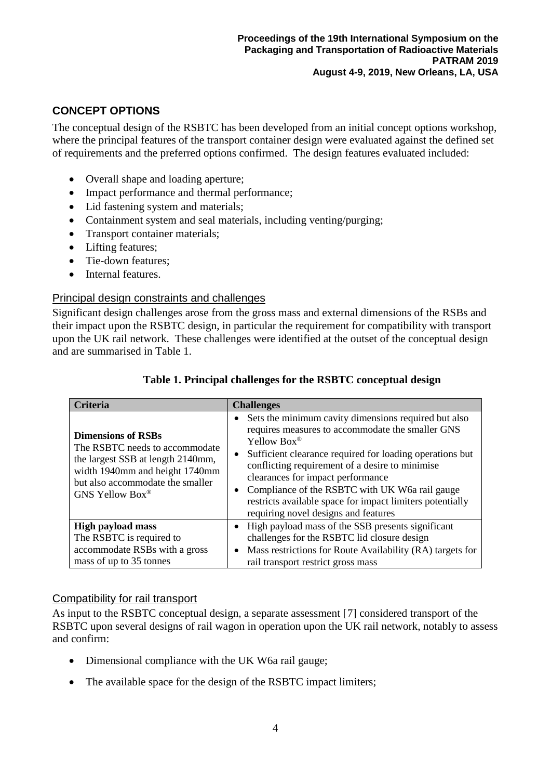# **CONCEPT OPTIONS**

The conceptual design of the RSBTC has been developed from an initial concept options workshop, where the principal features of the transport container design were evaluated against the defined set of requirements and the preferred options confirmed. The design features evaluated included:

- Overall shape and loading aperture;
- Impact performance and thermal performance;
- Lid fastening system and materials;
- Containment system and seal materials, including venting/purging;
- Transport container materials;
- Lifting features;
- Tie-down features:
- Internal features.

# Principal design constraints and challenges

Significant design challenges arose from the gross mass and external dimensions of the RSBs and their impact upon the RSBTC design, in particular the requirement for compatibility with transport upon the UK rail network. These challenges were identified at the outset of the conceptual design and are summarised in [Table 1.](#page-3-0)

<span id="page-3-0"></span>

| <b>Criteria</b>                                                                                                                                                                           | <b>Challenges</b>                                                                                                                                                                                                                                                                                                                                                                                                                                            |
|-------------------------------------------------------------------------------------------------------------------------------------------------------------------------------------------|--------------------------------------------------------------------------------------------------------------------------------------------------------------------------------------------------------------------------------------------------------------------------------------------------------------------------------------------------------------------------------------------------------------------------------------------------------------|
| <b>Dimensions of RSBs</b><br>The RSBTC needs to accommodate<br>the largest SSB at length 2140mm,<br>width 1940mm and height 1740mm<br>but also accommodate the smaller<br>GNS Yellow Box® | Sets the minimum cavity dimensions required but also<br>requires measures to accommodate the smaller GNS<br>Yellow Box®<br>Sufficient clearance required for loading operations but<br>$\bullet$<br>conflicting requirement of a desire to minimise<br>clearances for impact performance<br>Compliance of the RSBTC with UK W6a rail gauge<br>$\bullet$<br>restricts available space for impact limiters potentially<br>requiring novel designs and features |
| <b>High payload mass</b><br>The RSBTC is required to<br>accommodate RSBs with a gross<br>mass of up to 35 tonnes                                                                          | High payload mass of the SSB presents significant<br>challenges for the RSBTC lid closure design<br>Mass restrictions for Route Availability (RA) targets for<br>$\bullet$<br>rail transport restrict gross mass                                                                                                                                                                                                                                             |

# **Table 1. Principal challenges for the RSBTC conceptual design**

# Compatibility for rail transport

As input to the RSBTC conceptual design, a separate assessment [[7](#page-9-6)] considered transport of the RSBTC upon several designs of rail wagon in operation upon the UK rail network, notably to assess and confirm:

- Dimensional compliance with the UK W6a rail gauge;
- The available space for the design of the RSBTC impact limiters;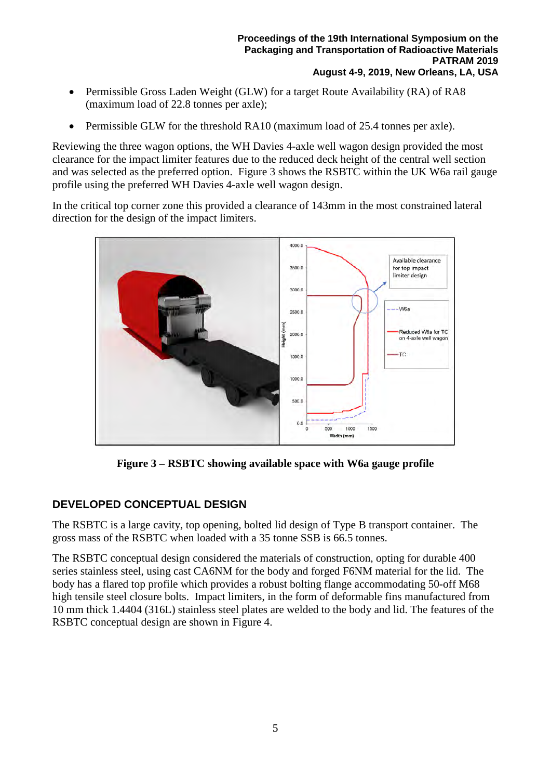- Permissible Gross Laden Weight (GLW) for a target Route Availability (RA) of RA8 (maximum load of 22.8 tonnes per axle);
- Permissible GLW for the threshold RA10 (maximum load of 25.4 tonnes per axle).

Reviewing the three wagon options, the WH Davies 4-axle well wagon design provided the most clearance for the impact limiter features due to the reduced deck height of the central well section and was selected as the preferred option. [Figure 3](#page-4-0) shows the RSBTC within the UK W6a rail gauge profile using the preferred WH Davies 4-axle well wagon design.

In the critical top corner zone this provided a clearance of 143mm in the most constrained lateral direction for the design of the impact limiters.



**Figure 3 – RSBTC showing available space with W6a gauge profile** 

# <span id="page-4-0"></span>**DEVELOPED CONCEPTUAL DESIGN**

The RSBTC is a large cavity, top opening, bolted lid design of Type B transport container. The gross mass of the RSBTC when loaded with a 35 tonne SSB is 66.5 tonnes.

The RSBTC conceptual design considered the materials of construction, opting for durable 400 series stainless steel, using cast CA6NM for the body and forged F6NM material for the lid. The body has a flared top profile which provides a robust bolting flange accommodating 50-off M68 high tensile steel closure bolts. Impact limiters, in the form of deformable fins manufactured from 10 mm thick 1.4404 (316L) stainless steel plates are welded to the body and lid. The features of the RSBTC conceptual design are shown in [Figure 4.](#page-5-0)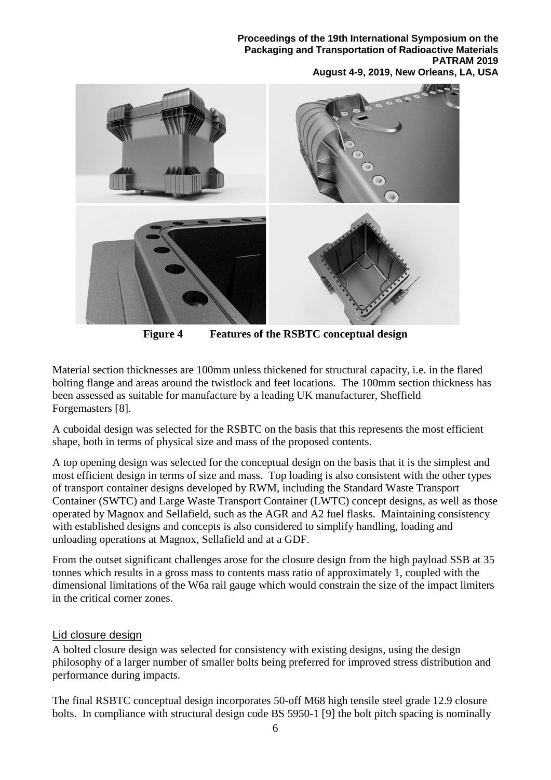

**Figure 4 Features of the RSBTC conceptual design**

<span id="page-5-0"></span>Material section thicknesses are 100mm unless thickened for structural capacity, i.e. in the flared bolting flange and areas around the twistlock and feet locations. The 100mm section thickness has been assessed as suitable for manufacture by a leading UK manufacturer, Sheffield Forgemasters [[8\]](#page-9-7).

A cuboidal design was selected for the RSBTC on the basis that this represents the most efficient shape, both in terms of physical size and mass of the proposed contents.

A top opening design was selected for the conceptual design on the basis that it is the simplest and most efficient design in terms of size and mass. Top loading is also consistent with the other types of transport container designs developed by RWM, including the Standard Waste Transport Container (SWTC) and Large Waste Transport Container (LWTC) concept designs, as well as those operated by Magnox and Sellafield, such as the AGR and A2 fuel flasks. Maintaining consistency with established designs and concepts is also considered to simplify handling, loading and unloading operations at Magnox, Sellafield and at a GDF.

From the outset significant challenges arose for the closure design from the high payload SSB at 35 tonnes which results in a gross mass to contents mass ratio of approximately 1, coupled with the dimensional limitations of the W6a rail gauge which would constrain the size of the impact limiters in the critical corner zones.

# Lid closure design

A bolted closure design was selected for consistency with existing designs, using the design philosophy of a larger number of smaller bolts being preferred for improved stress distribution and performance during impacts.

The final RSBTC conceptual design incorporates 50-off M68 high tensile steel grade 12.9 closure bolts. In compliance with structural design code BS 5950-1 [[9](#page-9-8)] the bolt pitch spacing is nominally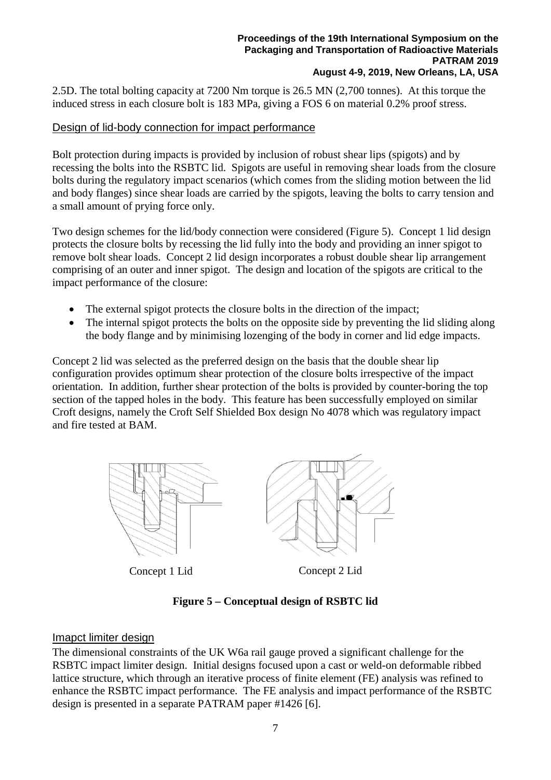2.5D. The total bolting capacity at 7200 Nm torque is 26.5 MN (2,700 tonnes). At this torque the induced stress in each closure bolt is 183 MPa, giving a FOS 6 on material 0.2% proof stress.

# Design of lid-body connection for impact performance

Bolt protection during impacts is provided by inclusion of robust shear lips (spigots) and by recessing the bolts into the RSBTC lid. Spigots are useful in removing shear loads from the closure bolts during the regulatory impact scenarios (which comes from the sliding motion between the lid and body flanges) since shear loads are carried by the spigots, leaving the bolts to carry tension and a small amount of prying force only.

Two design schemes for the lid/body connection were considered (Figure 5). Concept 1 lid design protects the closure bolts by recessing the lid fully into the body and providing an inner spigot to remove bolt shear loads. Concept 2 lid design incorporates a robust double shear lip arrangement comprising of an outer and inner spigot. The design and location of the spigots are critical to the impact performance of the closure:

- The external spigot protects the closure bolts in the direction of the impact;
- The internal spigot protects the bolts on the opposite side by preventing the lid sliding along the body flange and by minimising lozenging of the body in corner and lid edge impacts.

Concept 2 lid was selected as the preferred design on the basis that the double shear lip configuration provides optimum shear protection of the closure bolts irrespective of the impact orientation. In addition, further shear protection of the bolts is provided by counter-boring the top section of the tapped holes in the body. This feature has been successfully employed on similar Croft designs, namely the Croft Self Shielded Box design No 4078 which was regulatory impact and fire tested at BAM.



# **Figure 5 – Conceptual design of RSBTC lid**

# Imapct limiter design

The dimensional constraints of the UK W6a rail gauge proved a significant challenge for the RSBTC impact limiter design. Initial designs focused upon a cast or weld-on deformable ribbed lattice structure, which through an iterative process of finite element (FE) analysis was refined to enhance the RSBTC impact performance. The FE analysis and impact performance of the RSBTC design is presented in a separate PATRAM paper #1426 [\[6\]](#page-1-1).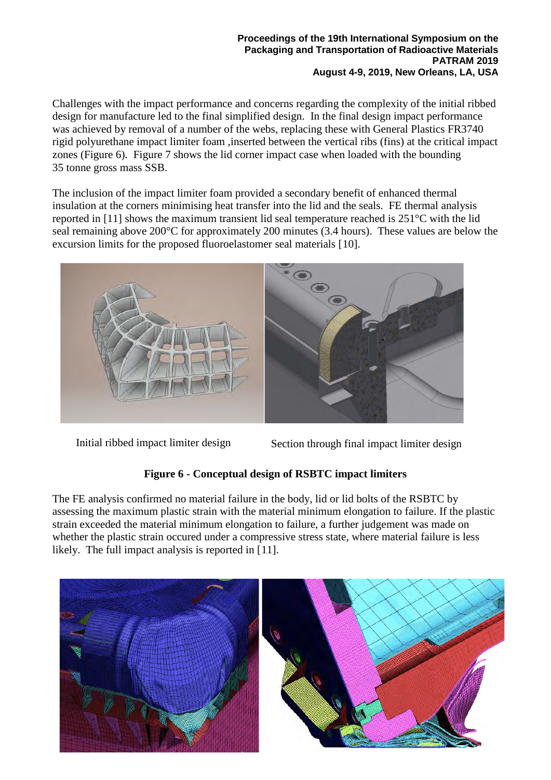Challenges with the impact performance and concerns regarding the complexity of the initial ribbed design for manufacture led to the final simplified design. In the final design impact performance was achieved by removal of a number of the webs, replacing these with General Plastics FR3740 rigid polyurethane impact limiter foam ,inserted between the vertical ribs (fins) at the critical impact zones [\(Figure 6\)](#page-7-0). [Figure 7](#page-8-0) shows the lid corner impact case when loaded with the bounding 35 tonne gross mass SSB.

The inclusion of the impact limiter foam provided a secondary benefit of enhanced thermal insulation at the corners minimising heat transfer into the lid and the seals. FE thermal analysis reported in [\[11\]](#page-7-1) shows the maximum transient lid seal temperature reached is 251°C with the lid seal remaining above 200°C for approximately 200 minutes (3.4 hours). These values are below the excursion limits for the proposed fluoroelastomer seal materials [[10](#page-9-9)].



Initial ribbed impact limiter design Section through final impact limiter design

# <span id="page-7-1"></span>**Figure 6 - Conceptual design of RSBTC impact limiters**

<span id="page-7-0"></span>The FE analysis confirmed no material failure in the body, lid or lid bolts of the RSBTC by assessing the maximum plastic strain with the material minimum elongation to failure. If the plastic strain exceeded the material minimum elongation to failure, a further judgement was made on whether the plastic strain occured under a compressive stress state, where material failure is less likely. The full impact analysis is reported in [[11](#page-9-10)].

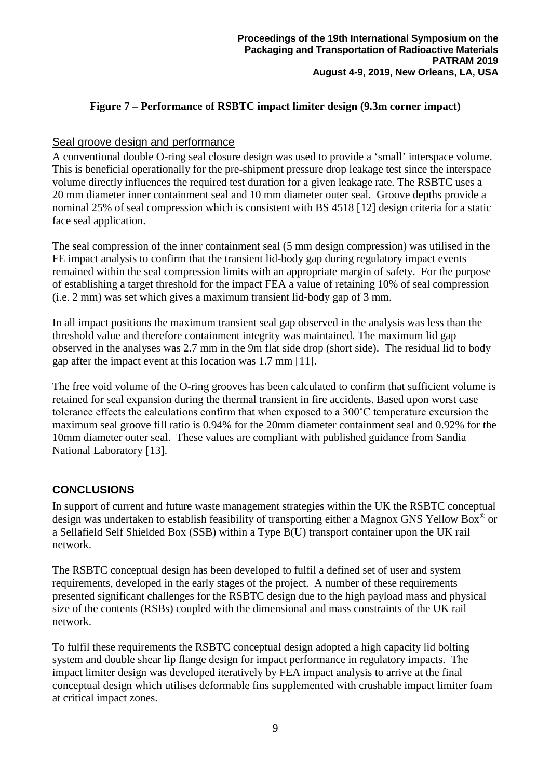#### **Figure 7 – Performance of RSBTC impact limiter design (9.3m corner impact)**

#### <span id="page-8-0"></span>Seal groove design and performance

A conventional double O-ring seal closure design was used to provide a 'small' interspace volume. This is beneficial operationally for the pre-shipment pressure drop leakage test since the interspace volume directly influences the required test duration for a given leakage rate. The RSBTC uses a 20 mm diameter inner containment seal and 10 mm diameter outer seal. Groove depths provide a nominal 25% of seal compression which is consistent with BS 4518 [[12](#page-9-11)] design criteria for a static face seal application.

The seal compression of the inner containment seal (5 mm design compression) was utilised in the FE impact analysis to confirm that the transient lid-body gap during regulatory impact events remained within the seal compression limits with an appropriate margin of safety. For the purpose of establishing a target threshold for the impact FEA a value of retaining 10% of seal compression (i.e. 2 mm) was set which gives a maximum transient lid-body gap of 3 mm.

In all impact positions the maximum transient seal gap observed in the analysis was less than the threshold value and therefore containment integrity was maintained. The maximum lid gap observed in the analyses was 2.7 mm in the 9m flat side drop (short side). The residual lid to body gap after the impact event at this location was 1.7 mm [\[11\]](#page-7-1).

The free void volume of the O-ring grooves has been calculated to confirm that sufficient volume is retained for seal expansion during the thermal transient in fire accidents. Based upon worst case tolerance effects the calculations confirm that when exposed to a 300˚C temperature excursion the maximum seal groove fill ratio is 0.94% for the 20mm diameter containment seal and 0.92% for the 10mm diameter outer seal. These values are compliant with published guidance from Sandia National Laboratory [[13\]](#page-9-12).

# **CONCLUSIONS**

In support of current and future waste management strategies within the UK the RSBTC conceptual design was undertaken to establish feasibility of transporting either a Magnox GNS Yellow Box® or a Sellafield Self Shielded Box (SSB) within a Type B(U) transport container upon the UK rail network.

The RSBTC conceptual design has been developed to fulfil a defined set of user and system requirements, developed in the early stages of the project. A number of these requirements presented significant challenges for the RSBTC design due to the high payload mass and physical size of the contents (RSBs) coupled with the dimensional and mass constraints of the UK rail network.

To fulfil these requirements the RSBTC conceptual design adopted a high capacity lid bolting system and double shear lip flange design for impact performance in regulatory impacts. The impact limiter design was developed iteratively by FEA impact analysis to arrive at the final conceptual design which utilises deformable fins supplemented with crushable impact limiter foam at critical impact zones.